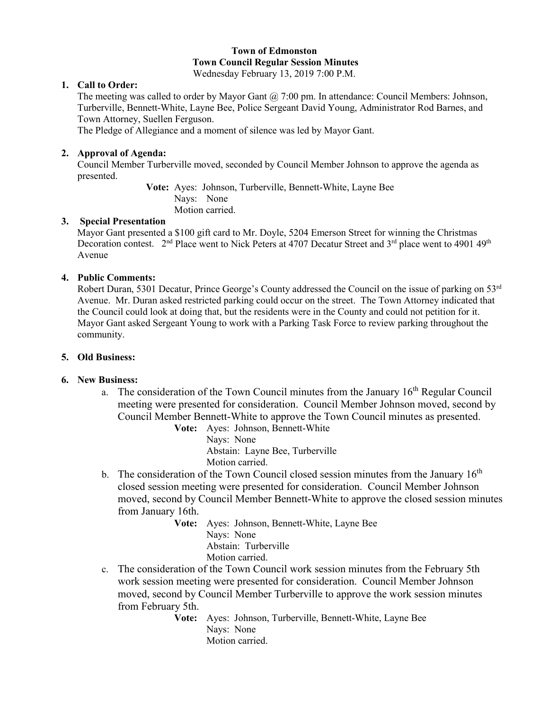# **Town of Edmonston Town Council Regular Session Minutes**

Wednesday February 13, 2019 7:00 P.M.

## **1. Call to Order:**

The meeting was called to order by Mayor Gant  $(2, 7:00 \text{ pm}$ . In attendance: Council Members: Johnson, Turberville, Bennett-White, Layne Bee, Police Sergeant David Young, Administrator Rod Barnes, and Town Attorney, Suellen Ferguson.

The Pledge of Allegiance and a moment of silence was led by Mayor Gant.

#### **2. Approval of Agenda:**

Council Member Turberville moved, seconded by Council Member Johnson to approve the agenda as presented.

> **Vote:** Ayes: Johnson, Turberville, Bennett-White, Layne Bee Nays: None Motion carried.

## **3. Special Presentation**

 Mayor Gant presented a \$100 gift card to Mr. Doyle, 5204 Emerson Street for winning the Christmas Decoration contest. 2<sup>nd</sup> Place went to Nick Peters at 4707 Decatur Street and 3<sup>rd</sup> place went to 4901 49<sup>th</sup> Avenue

#### **4. Public Comments:**

Robert Duran, 5301 Decatur, Prince George's County addressed the Council on the issue of parking on 53rd Avenue. Mr. Duran asked restricted parking could occur on the street. The Town Attorney indicated that the Council could look at doing that, but the residents were in the County and could not petition for it. Mayor Gant asked Sergeant Young to work with a Parking Task Force to review parking throughout the community.

## **5. Old Business:**

## **6. New Business:**

a. The consideration of the Town Council minutes from the January  $16<sup>th</sup>$  Regular Council meeting were presented for consideration. Council Member Johnson moved, second by Council Member Bennett-White to approve the Town Council minutes as presented.

**Vote:** Ayes: Johnson, Bennett-White Nays: None Abstain: Layne Bee, Turberville Motion carried.

- b. The consideration of the Town Council closed session minutes from the January  $16<sup>th</sup>$ closed session meeting were presented for consideration. Council Member Johnson moved, second by Council Member Bennett-White to approve the closed session minutes from January 16th.
	- **Vote:** Ayes: Johnson, Bennett-White, Layne Bee Nays: None Abstain: Turberville Motion carried.
- c. The consideration of the Town Council work session minutes from the February 5th work session meeting were presented for consideration. Council Member Johnson moved, second by Council Member Turberville to approve the work session minutes from February 5th.

**Vote:** Ayes: Johnson, Turberville, Bennett-White, Layne Bee Nays: None Motion carried.